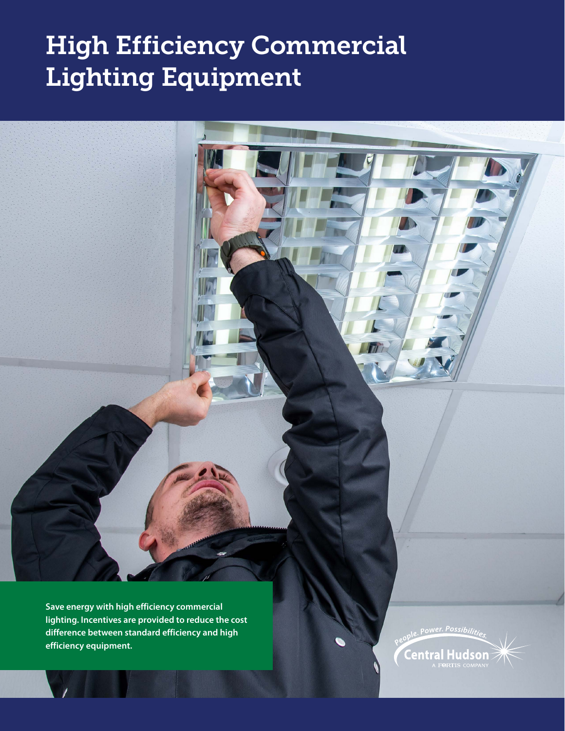# High Efficiency Commercial Lighting Equipment

**Save energy with high efficiency commercial lighting. Incentives are provided to reduce the cost difference between standard efficiency and high efficiency equipment.**

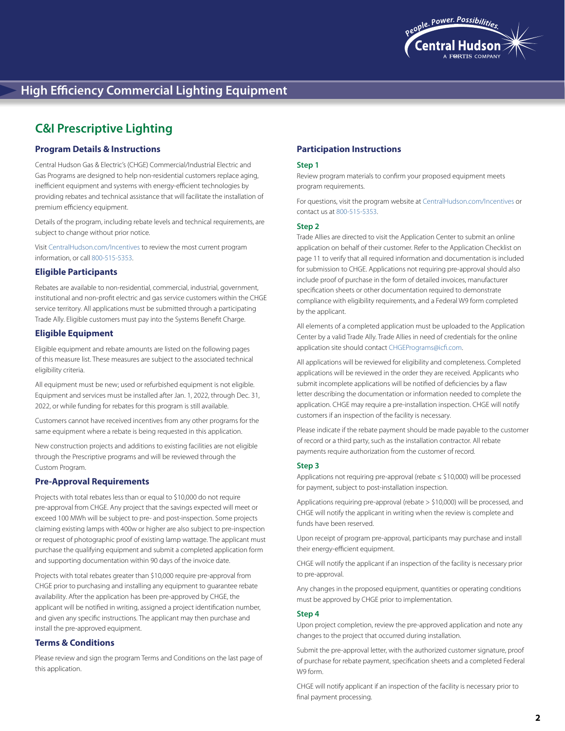

# **C&I Prescriptive Lighting**

# **Program Details & Instructions**

Central Hudson Gas & Electric's (CHGE) Commercial/Industrial Electric and Gas Programs are designed to help non-residential customers replace aging, inefficient equipment and systems with energy-efficient technologies by providing rebates and technical assistance that will facilitate the installation of premium efficiency equipment.

Details of the program, including rebate levels and technical requirements, are subject to change without prior notice.

Visit [CentralHudson.com/Incentives](http://www.CentralHudson.com/Incentives) to review the most current program information, or call 800-515-5353.

### **Eligible Participants**

Rebates are available to non-residential, commercial, industrial, government, institutional and non-profit electric and gas service customers within the CHGE service territory. All applications must be submitted through a participating Trade Ally. Eligible customers must pay into the Systems Benefit Charge.

# **Eligible Equipment**

Eligible equipment and rebate amounts are listed on the following pages of this measure list. These measures are subject to the associated technical eligibility criteria.

All equipment must be new; used or refurbished equipment is not eligible. Equipment and services must be installed after Jan. 1, 2022, through Dec. 31, 2022, or while funding for rebates for this program is still available.

Customers cannot have received incentives from any other programs for the same equipment where a rebate is being requested in this application.

New construction projects and additions to existing facilities are not eligible through the Prescriptive programs and will be reviewed through the Custom Program.

# **Pre-Approval Requirements**

Projects with total rebates less than or equal to \$10,000 do not require pre-approval from CHGE. Any project that the savings expected will meet or exceed 100 MWh will be subject to pre- and post-inspection. Some projects claiming existing lamps with 400w or higher are also subject to pre-inspection or request of photographic proof of existing lamp wattage. The applicant must purchase the qualifying equipment and submit a completed application form and supporting documentation within 90 days of the invoice date.

Projects with total rebates greater than \$10,000 require pre-approval from CHGE prior to purchasing and installing any equipment to guarantee rebate availability. After the application has been pre-approved by CHGE, the applicant will be notified in writing, assigned a project identification number, and given any specific instructions. The applicant may then purchase and install the pre-approved equipment.

### **Terms & Conditions**

Please review and sign the program Terms and Conditions on the last page of this application.

# **Participation Instructions**

#### **Step 1**

Review program materials to confirm your proposed equipment meets program requirements.

For questions, visit the program website at [CentralHudson.com/Incentives](http://www.CentralHudson.com/Incentives) or contact us at 800-515-5353.

#### **Step 2**

Trade Allies are directed to visit the Application Center to submit an online application on behalf of their customer. Refer to the Application Checklist on page 11 to verify that all required information and documentation is included for submission to CHGE. Applications not requiring pre-approval should also include proof of purchase in the form of detailed invoices, manufacturer specification sheets or other documentation required to demonstrate compliance with eligibility requirements, and a Federal W9 form completed by the applicant.

All elements of a completed application must be uploaded to the Application Center by a valid Trade Ally. Trade Allies in need of credentials for the online application site should contact [CHGEPrograms@icfi.com.](mailto:CHGEPrograms@icfi.com)

All applications will be reviewed for eligibility and completeness. Completed applications will be reviewed in the order they are received. Applicants who submit incomplete applications will be notified of deficiencies by a flaw letter describing the documentation or information needed to complete the application. CHGE may require a pre-installation inspection. CHGE will notify customers if an inspection of the facility is necessary.

Please indicate if the rebate payment should be made payable to the customer of record or a third party, such as the installation contractor. All rebate payments require authorization from the customer of record.

#### **Step 3**

Applications not requiring pre-approval (rebate ≤ \$10,000) will be processed for payment, subject to post-installation inspection.

Applications requiring pre-approval (rebate > \$10,000) will be processed, and CHGE will notify the applicant in writing when the review is complete and funds have been reserved.

Upon receipt of program pre-approval, participants may purchase and install their energy-efficient equipment.

CHGE will notify the applicant if an inspection of the facility is necessary prior to pre-approval.

Any changes in the proposed equipment, quantities or operating conditions must be approved by CHGE prior to implementation.

# **Step 4**

Upon project completion, review the pre-approved application and note any changes to the project that occurred during installation.

Submit the pre-approval letter, with the authorized customer signature, proof of purchase for rebate payment, specification sheets and a completed Federal W9 form.

CHGE will notify applicant if an inspection of the facility is necessary prior to final payment processing.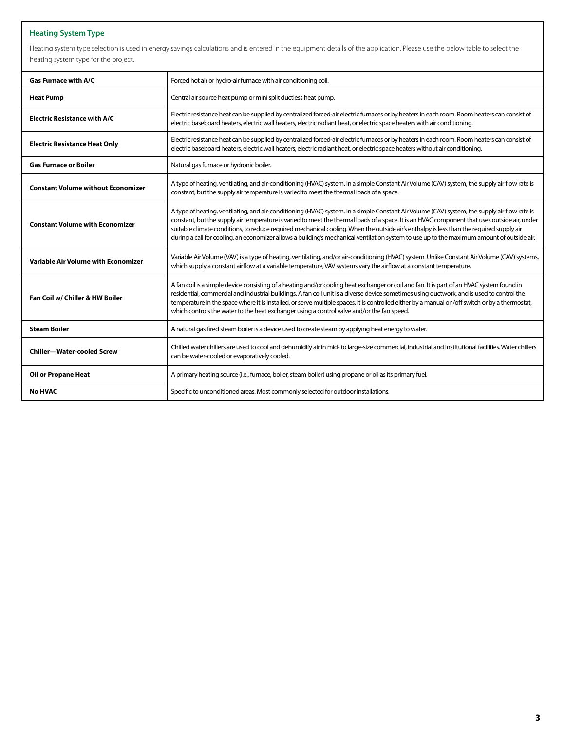# **Heating System Type**

Heating system type selection is used in energy savings calculations and is entered in the equipment details of the application. Please use the below table to select the heating system type for the project.

| <b>Gas Furnace with A/C</b>                | Forced hot air or hydro-air furnace with air conditioning coil.                                                                                                                                                                                                                                                                                                                                                                                                                                                                                                                          |
|--------------------------------------------|------------------------------------------------------------------------------------------------------------------------------------------------------------------------------------------------------------------------------------------------------------------------------------------------------------------------------------------------------------------------------------------------------------------------------------------------------------------------------------------------------------------------------------------------------------------------------------------|
| <b>Heat Pump</b>                           | Central air source heat pump or mini split ductless heat pump.                                                                                                                                                                                                                                                                                                                                                                                                                                                                                                                           |
| <b>Electric Resistance with A/C</b>        | Electric resistance heat can be supplied by centralized forced-air electric furnaces or by heaters in each room. Room heaters can consist of<br>electric baseboard heaters, electric wall heaters, electric radiant heat, or electric space heaters with air conditioning.                                                                                                                                                                                                                                                                                                               |
| <b>Electric Resistance Heat Only</b>       | Electric resistance heat can be supplied by centralized forced-air electric furnaces or by heaters in each room. Room heaters can consist of<br>electric baseboard heaters, electric wall heaters, electric radiant heat, or electric space heaters without air conditioning.                                                                                                                                                                                                                                                                                                            |
| <b>Gas Furnace or Boiler</b>               | Natural gas furnace or hydronic boiler.                                                                                                                                                                                                                                                                                                                                                                                                                                                                                                                                                  |
| <b>Constant Volume without Economizer</b>  | A type of heating, ventilating, and air-conditioning (HVAC) system. In a simple Constant Air Volume (CAV) system, the supply air flow rate is<br>constant, but the supply air temperature is varied to meet the thermal loads of a space.                                                                                                                                                                                                                                                                                                                                                |
| <b>Constant Volume with Economizer</b>     | A type of heating, ventilating, and air-conditioning (HVAC) system. In a simple Constant Air Volume (CAV) system, the supply air flow rate is<br>constant, but the supply air temperature is varied to meet the thermal loads of a space. It is an HVAC component that uses outside air, under<br>suitable climate conditions, to reduce required mechanical cooling. When the outside air's enthalpy is less than the required supply air<br>during a call for cooling, an economizer allows a building's mechanical ventilation system to use up to the maximum amount of outside air. |
| <b>Variable Air Volume with Economizer</b> | Variable Air Volume (VAV) is a type of heating, ventilating, and/or air-conditioning (HVAC) system. Unlike Constant Air Volume (CAV) systems,<br>which supply a constant airflow at a variable temperature, VAV systems vary the airflow at a constant temperature.                                                                                                                                                                                                                                                                                                                      |
| Fan Coil w/ Chiller & HW Boiler            | A fan coil is a simple device consisting of a heating and/or cooling heat exchanger or coil and fan. It is part of an HVAC system found in<br>residential, commercial and industrial buildings. A fan coil unit is a diverse device sometimes using ductwork, and is used to control the<br>temperature in the space where it is installed, or serve multiple spaces. It is controlled either by a manual on/off switch or by a thermostat,<br>which controls the water to the heat exchanger using a control valve and/or the fan speed.                                                |
| <b>Steam Boiler</b>                        | A natural gas fired steam boiler is a device used to create steam by applying heat energy to water.                                                                                                                                                                                                                                                                                                                                                                                                                                                                                      |
| <b>Chiller-Water-cooled Screw</b>          | Chilled water chillers are used to cool and dehumidify air in mid- to large-size commercial, industrial and institutional facilities. Water chillers<br>can be water-cooled or evaporatively cooled.                                                                                                                                                                                                                                                                                                                                                                                     |
| <b>Oil or Propane Heat</b>                 | A primary heating source (i.e., furnace, boiler, steam boiler) using propane or oil as its primary fuel.                                                                                                                                                                                                                                                                                                                                                                                                                                                                                 |
| <b>No HVAC</b>                             | Specific to unconditioned areas. Most commonly selected for outdoor installations.                                                                                                                                                                                                                                                                                                                                                                                                                                                                                                       |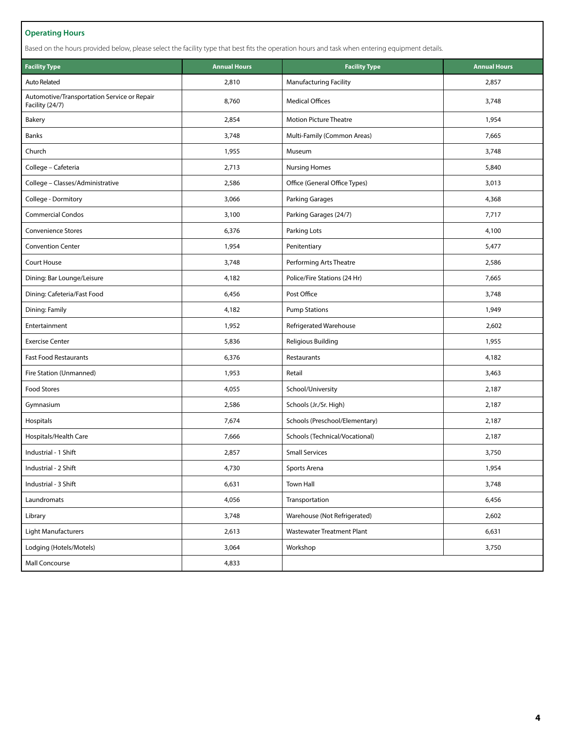# **Operating Hours**

Based on the hours provided below, please select the facility type that best fits the operation hours and task when entering equipment details.

| <b>Facility Type</b>                                           | <b>Annual Hours</b> | <b>Annual Hours</b><br><b>Facility Type</b> |       |
|----------------------------------------------------------------|---------------------|---------------------------------------------|-------|
| <b>Auto Related</b>                                            | 2,810               | <b>Manufacturing Facility</b>               | 2,857 |
| Automotive/Transportation Service or Repair<br>Facility (24/7) | 8,760               | <b>Medical Offices</b>                      | 3,748 |
| Bakery                                                         | 2,854               | <b>Motion Picture Theatre</b>               | 1,954 |
| Banks                                                          | 3,748               | Multi-Family (Common Areas)                 | 7,665 |
| Church                                                         | 1,955               | Museum                                      | 3,748 |
| College - Cafeteria                                            | 2,713               | <b>Nursing Homes</b>                        | 5,840 |
| College - Classes/Administrative                               | 2,586               | Office (General Office Types)               | 3,013 |
| College - Dormitory                                            | 3,066               | Parking Garages                             | 4,368 |
| <b>Commercial Condos</b>                                       | 3,100               | Parking Garages (24/7)                      | 7,717 |
| <b>Convenience Stores</b>                                      | 6,376               | Parking Lots                                | 4,100 |
| <b>Convention Center</b>                                       | 1,954               | Penitentiary                                | 5,477 |
| Court House                                                    | 3,748               | Performing Arts Theatre                     | 2,586 |
| Dining: Bar Lounge/Leisure                                     | 4,182               | Police/Fire Stations (24 Hr)                | 7,665 |
| Dining: Cafeteria/Fast Food                                    | 6,456               | Post Office                                 | 3,748 |
| Dining: Family                                                 | 4,182               | <b>Pump Stations</b>                        | 1,949 |
| Entertainment                                                  | 1,952               | Refrigerated Warehouse                      | 2,602 |
| <b>Exercise Center</b>                                         | 5,836               | <b>Religious Building</b>                   | 1,955 |
| <b>Fast Food Restaurants</b>                                   | 6,376               | Restaurants                                 | 4,182 |
| Fire Station (Unmanned)                                        | 1,953               | Retail                                      | 3,463 |
| <b>Food Stores</b>                                             | 4,055               | School/University                           | 2,187 |
| Gymnasium                                                      | 2,586               | Schools (Jr./Sr. High)<br>2,187             |       |
| Hospitals                                                      | 7,674               | Schools (Preschool/Elementary)<br>2,187     |       |
| Hospitals/Health Care                                          | 7,666               | Schools (Technical/Vocational)<br>2,187     |       |
| Industrial - 1 Shift                                           | 2,857               | <b>Small Services</b>                       | 3,750 |
| Industrial - 2 Shift                                           | 4,730               | Sports Arena                                | 1,954 |
| Industrial - 3 Shift                                           | 6,631               | Town Hall                                   | 3,748 |
| Laundromats                                                    | 4,056               | Transportation                              | 6,456 |
| Library                                                        | 3,748               | Warehouse (Not Refrigerated)                | 2,602 |
| Light Manufacturers                                            | 2,613               | <b>Wastewater Treatment Plant</b>           | 6,631 |
| Lodging (Hotels/Motels)                                        | 3,064               | Workshop                                    | 3,750 |
| Mall Concourse                                                 | 4,833               |                                             |       |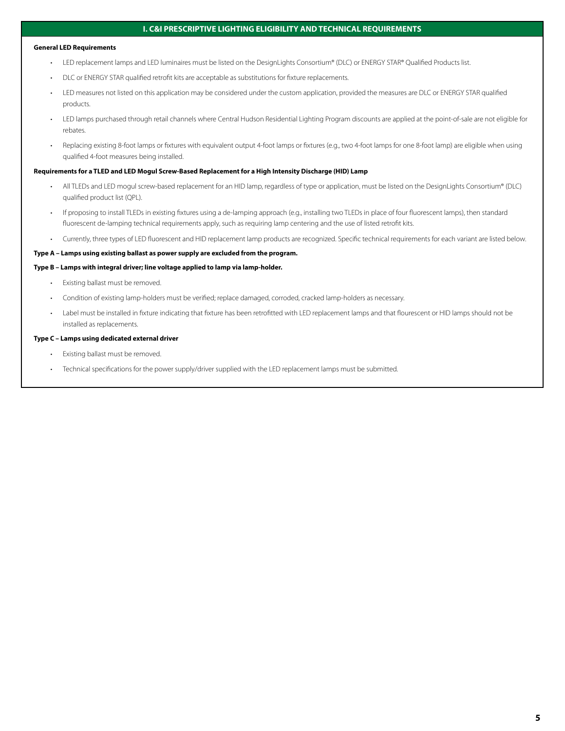# **I. C&I PRESCRIPTIVE LIGHTING ELIGIBILITY AND TECHNICAL REQUIREMENTS**

#### **General LED Requirements**

- LED replacement lamps and LED luminaires must be listed on the DesignLights Consortium® (DLC) or ENERGY STAR® Qualified Products list.
- DLC or ENERGY STAR qualified retrofit kits are acceptable as substitutions for fixture replacements.
- LED measures not listed on this application may be considered under the custom application, provided the measures are DLC or ENERGY STAR qualified products.
- LED lamps purchased through retail channels where Central Hudson Residential Lighting Program discounts are applied at the point-of-sale are not eligible for rebates.
- Replacing existing 8-foot lamps or fixtures with equivalent output 4-foot lamps or fixtures (e.g., two 4-foot lamps for one 8-foot lamp) are eligible when using qualified 4-foot measures being installed.

#### **Requirements for a TLED and LED Mogul Screw-Based Replacement for a High Intensity Discharge (HID) Lamp**

- All TLEDs and LED mogul screw-based replacement for an HID lamp, regardless of type or application, must be listed on the DesignLights Consortium® (DLC) qualified product list (QPL).
- If proposing to install TLEDs in existing fixtures using a de-lamping approach (e.g., installing two TLEDs in place of four fluorescent lamps), then standard fluorescent de-lamping technical requirements apply, such as requiring lamp centering and the use of listed retrofit kits.
- Currently, three types of LED fluorescent and HID replacement lamp products are recognized. Specific technical requirements for each variant are listed below.

#### **Type A – Lamps using existing ballast as power supply are excluded from the program.**

#### **Type B – Lamps with integral driver; line voltage applied to lamp via lamp-holder.**

- Existing ballast must be removed.
- Condition of existing lamp-holders must be verified; replace damaged, corroded, cracked lamp-holders as necessary.
- Label must be installed in fixture indicating that fixture has been retrofitted with LED replacement lamps and that flourescent or HID lamps should not be installed as replacements.

#### **Type C – Lamps using dedicated external driver**

- Existing ballast must be removed.
- Technical specifications for the power supply/driver supplied with the LED replacement lamps must be submitted.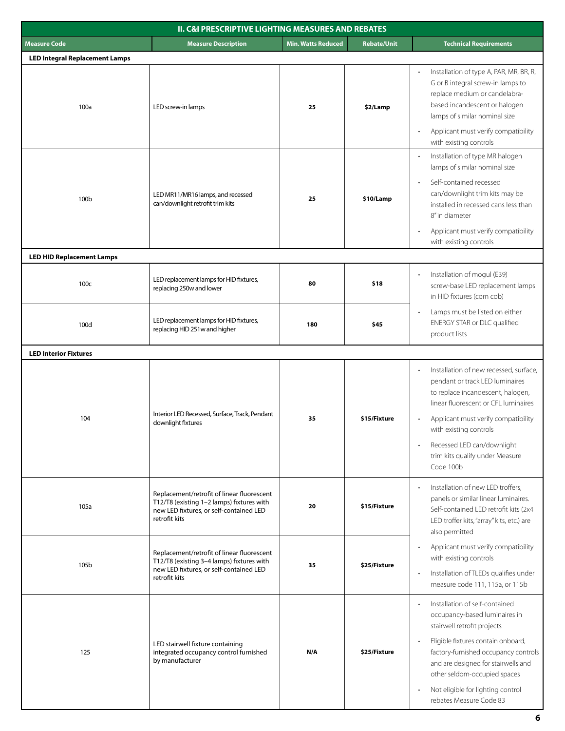| <b>II. C&amp;I PRESCRIPTIVE LIGHTING MEASURES AND REBATES</b> |                                                                                                                                                     |                           |                    |                                                                                                                                                                                                                                                                                                                     |
|---------------------------------------------------------------|-----------------------------------------------------------------------------------------------------------------------------------------------------|---------------------------|--------------------|---------------------------------------------------------------------------------------------------------------------------------------------------------------------------------------------------------------------------------------------------------------------------------------------------------------------|
| <b>Measure Code</b>                                           | <b>Measure Description</b>                                                                                                                          | <b>Min. Watts Reduced</b> | <b>Rebate/Unit</b> | <b>Technical Requirements</b>                                                                                                                                                                                                                                                                                       |
| <b>LED Integral Replacement Lamps</b>                         |                                                                                                                                                     |                           |                    |                                                                                                                                                                                                                                                                                                                     |
| 100a                                                          | LED screw-in lamps                                                                                                                                  | 25                        | \$2/Lamp           | Installation of type A, PAR, MR, BR, R,<br>G or B integral screw-in lamps to<br>replace medium or candelabra-<br>based incandescent or halogen<br>lamps of similar nominal size                                                                                                                                     |
|                                                               |                                                                                                                                                     |                           |                    | Applicant must verify compatibility<br>with existing controls<br>Installation of type MR halogen<br>lamps of similar nominal size                                                                                                                                                                                   |
| 100b                                                          | LED MR11/MR16 lamps, and recessed<br>can/downlight retrofit trim kits                                                                               | 25                        | \$10/Lamp          | Self-contained recessed<br>can/downlight trim kits may be<br>installed in recessed cans less than<br>8" in diameter<br>Applicant must verify compatibility<br>with existing controls                                                                                                                                |
| <b>LED HID Replacement Lamps</b>                              |                                                                                                                                                     |                           |                    |                                                                                                                                                                                                                                                                                                                     |
| 100c                                                          | LED replacement lamps for HID fixtures,<br>replacing 250w and lower                                                                                 | 80                        | \$18               | Installation of mogul (E39)<br>screw-base LED replacement lamps<br>in HID fixtures (corn cob)                                                                                                                                                                                                                       |
| 100d                                                          | LED replacement lamps for HID fixtures,<br>replacing HID 251w and higher                                                                            | 180                       | \$45               | Lamps must be listed on either<br>$\bullet$<br>ENERGY STAR or DLC qualified<br>product lists                                                                                                                                                                                                                        |
| <b>LED Interior Fixtures</b>                                  |                                                                                                                                                     |                           |                    |                                                                                                                                                                                                                                                                                                                     |
| 104                                                           | Interior LED Recessed, Surface, Track, Pendant<br>downlight fixtures                                                                                | 35                        | \$15/Fixture       | Installation of new recessed, surface,<br>pendant or track LED luminaires<br>to replace incandescent, halogen,<br>linear fluorescent or CFL luminaires<br>Applicant must verify compatibility<br>with existing controls<br>Recessed LED can/downlight                                                               |
|                                                               |                                                                                                                                                     |                           |                    | trim kits qualify under Measure<br>Code 100b                                                                                                                                                                                                                                                                        |
| 105a                                                          | Replacement/retrofit of linear fluorescent<br>T12/T8 (existing 1-2 lamps) fixtures with<br>new LED fixtures, or self-contained LED<br>retrofit kits | 20                        | \$15/Fixture       | Installation of new LED troffers,<br>panels or similar linear luminaires.<br>Self-contained LED retrofit kits (2x4<br>LED troffer kits, "array" kits, etc.) are<br>also permitted                                                                                                                                   |
| 105b                                                          | Replacement/retrofit of linear fluorescent<br>T12/T8 (existing 3-4 lamps) fixtures with<br>new LED fixtures, or self-contained LED<br>retrofit kits | 35                        | \$25/Fixture       | Applicant must verify compatibility<br>with existing controls<br>Installation of TLEDs qualifies under<br>$\bullet$<br>measure code 111, 115a, or 115b                                                                                                                                                              |
| 125                                                           | LED stairwell fixture containing<br>integrated occupancy control furnished<br>by manufacturer                                                       | N/A                       | \$25/Fixture       | Installation of self-contained<br>occupancy-based luminaires in<br>stairwell retrofit projects<br>Eligible fixtures contain onboard,<br>factory-furnished occupancy controls<br>and are designed for stairwells and<br>other seldom-occupied spaces<br>Not eligible for lighting control<br>rebates Measure Code 83 |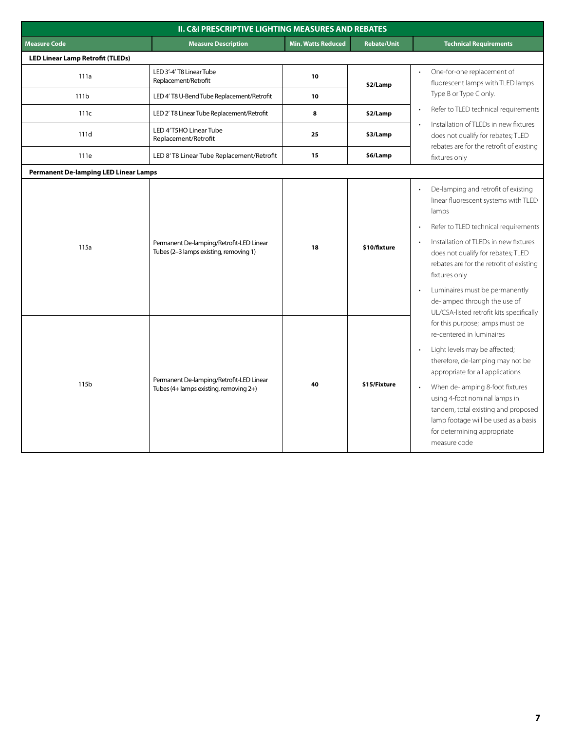|                                              | <b>II. C&amp;I PRESCRIPTIVE LIGHTING MEASURES AND REBATES</b>                      |                           |                    |                                                                                                                                                                                                                                                                                                                                                                                                                     |
|----------------------------------------------|------------------------------------------------------------------------------------|---------------------------|--------------------|---------------------------------------------------------------------------------------------------------------------------------------------------------------------------------------------------------------------------------------------------------------------------------------------------------------------------------------------------------------------------------------------------------------------|
| <b>Measure Code</b>                          | <b>Measure Description</b>                                                         | <b>Min. Watts Reduced</b> | <b>Rebate/Unit</b> | <b>Technical Requirements</b>                                                                                                                                                                                                                                                                                                                                                                                       |
| <b>LED Linear Lamp Retrofit (TLEDs)</b>      |                                                                                    |                           |                    |                                                                                                                                                                                                                                                                                                                                                                                                                     |
| 111a                                         | LED 3'-4' T8 Linear Tube<br>Replacement/Retrofit                                   | 10                        | \$2/Lamp           | One-for-one replacement of<br>fluorescent lamps with TLED lamps                                                                                                                                                                                                                                                                                                                                                     |
| 111b                                         | LED 4' T8 U-Bend Tube Replacement/Retrofit                                         | 10                        |                    | Type B or Type C only.                                                                                                                                                                                                                                                                                                                                                                                              |
| 111c                                         | LED 2' T8 Linear Tube Replacement/Retrofit                                         | 8                         | \$2/Lamp           | Refer to TLED technical requirements                                                                                                                                                                                                                                                                                                                                                                                |
| 111d                                         | LED 4'T5HO Linear Tube<br>Replacement/Retrofit                                     | 25                        | \$3/Lamp           | Installation of TLEDs in new fixtures<br>does not qualify for rebates; TLED<br>rebates are for the retrofit of existing                                                                                                                                                                                                                                                                                             |
| 111e                                         | LED 8'T8 Linear Tube Replacement/Retrofit                                          | 15                        | \$6/Lamp           | fixtures only                                                                                                                                                                                                                                                                                                                                                                                                       |
| <b>Permanent De-lamping LED Linear Lamps</b> |                                                                                    |                           |                    |                                                                                                                                                                                                                                                                                                                                                                                                                     |
| 115a                                         | Permanent De-lamping/Retrofit-LED Linear<br>Tubes (2-3 lamps existing, removing 1) | 18                        | \$10/fixture       | De-lamping and retrofit of existing<br>linear fluorescent systems with TLED<br>lamps<br>Refer to TLED technical requirements<br>Installation of TLEDs in new fixtures<br>does not qualify for rebates; TLED<br>rebates are for the retrofit of existing<br>fixtures only<br>Luminaires must be permanently<br>de-lamped through the use of                                                                          |
| 115 <sub>b</sub>                             | Permanent De-lamping/Retrofit-LED Linear<br>Tubes (4+ lamps existing, removing 2+) | 40                        | \$15/Fixture       | UL/CSA-listed retrofit kits specifically<br>for this purpose; lamps must be<br>re-centered in luminaires<br>Light levels may be affected;<br>therefore, de-lamping may not be<br>appropriate for all applications<br>When de-lamping 8-foot fixtures<br>using 4-foot nominal lamps in<br>tandem, total existing and proposed<br>lamp footage will be used as a basis<br>for determining appropriate<br>measure code |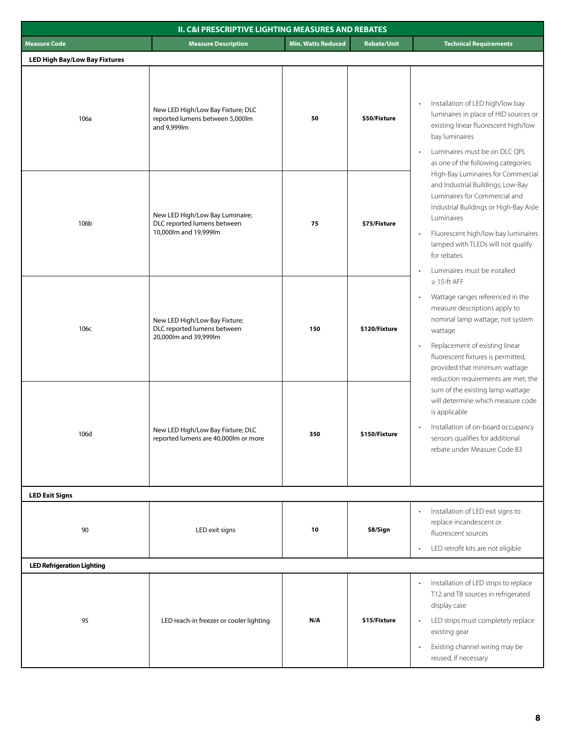|                                      | <b>II. C&amp;I PRESCRIPTIVE LIGHTING MEASURES AND REBATES</b>                           |                           |                    |                                                                                                                                                                                                                                                                                                           |
|--------------------------------------|-----------------------------------------------------------------------------------------|---------------------------|--------------------|-----------------------------------------------------------------------------------------------------------------------------------------------------------------------------------------------------------------------------------------------------------------------------------------------------------|
| <b>Measure Code</b>                  | <b>Measure Description</b>                                                              | <b>Min. Watts Reduced</b> | <b>Rebate/Unit</b> | <b>Technical Requirements</b>                                                                                                                                                                                                                                                                             |
| <b>LED High Bay/Low Bay Fixtures</b> |                                                                                         |                           |                    |                                                                                                                                                                                                                                                                                                           |
| 106a                                 | New LED High/Low Bay Fixture; DLC<br>reported lumens between 5,000lm<br>and 9,999lm     | 50                        | \$50/Fixture       | Installation of LED high/low bay<br>luminaires in place of HID sources or<br>existing linear fluorescent high/low<br>bay luminaires<br>Luminaires must be on DLC QPL<br>as one of the following categories:                                                                                               |
| 106b                                 | New LED High/Low Bay Luminaire;<br>DLC reported lumens between<br>10,000lm and 19,999lm | 75                        | \$75/Fixture       | High-Bay Luminaires for Commercial<br>and Industrial Buildings; Low-Bay<br>Luminaires for Commercial and<br>Industrial Buildings or High-Bay Aisle<br>Luminaires<br>Fluorescent high/low bay luminaires<br>$\bullet$<br>lamped with TLEDs will not qualify<br>for rebates<br>Luminaires must be installed |
| 106с                                 | New LED High/Low Bay Fixture;<br>DLC reported lumens between<br>20,000lm and 39,999lm   | 150                       | \$120/Fixture      | $\geq$ 15-ft AFF<br>Wattage ranges referenced in the<br>measure descriptions apply to<br>nominal lamp wattage, not system<br>wattage<br>Replacement of existing linear<br>$\bullet$<br>fluorescent fixtures is permitted,<br>provided that minimum wattage                                                |
| 106d                                 | New LED High/Low Bay Fixture; DLC<br>reported lumens are 40,000lm or more               | 350                       | \$150/Fixture      | reduction requirements are met; the<br>sum of the existing lamp wattage<br>will determine which measure code<br>is applicable<br>Installation of on-board occupancy<br>sensors qualifies for additional<br>rebate under Measure Code 83                                                                   |
| <b>LED Exit Signs</b>                |                                                                                         |                           |                    |                                                                                                                                                                                                                                                                                                           |
| 90                                   | LED exit signs                                                                          | 10                        | \$8/Sign           | Installation of LED exit signs to<br>replace incandescent or<br>fluorescent sources<br>LED retrofit kits are not eligible                                                                                                                                                                                 |
| <b>LED Refrigeration Lighting</b>    |                                                                                         |                           |                    |                                                                                                                                                                                                                                                                                                           |
| 95                                   | LED reach-in freezer or cooler lighting                                                 | N/A                       | \$15/Fixture       | Installation of LED strips to replace<br>T12 and T8 sources in refrigerated<br>display case<br>LED strips must completely replace<br>existing gear<br>Existing channel wiring may be<br>reused, if necessary                                                                                              |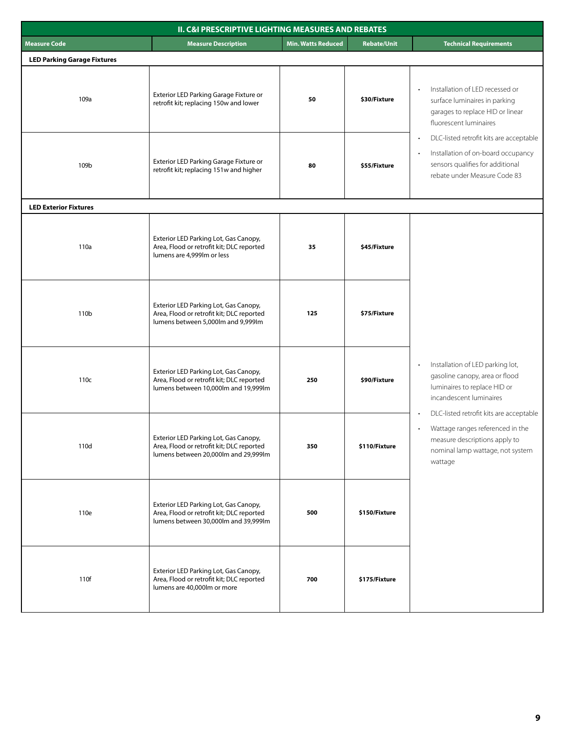| <b>II. C&amp;I PRESCRIPTIVE LIGHTING MEASURES AND REBATES</b> |                                                                                                                            |                           |                    |                                                                                                                                                                          |
|---------------------------------------------------------------|----------------------------------------------------------------------------------------------------------------------------|---------------------------|--------------------|--------------------------------------------------------------------------------------------------------------------------------------------------------------------------|
| <b>Measure Code</b>                                           | <b>Measure Description</b>                                                                                                 | <b>Min. Watts Reduced</b> | <b>Rebate/Unit</b> | <b>Technical Requirements</b>                                                                                                                                            |
| <b>LED Parking Garage Fixtures</b>                            |                                                                                                                            |                           |                    |                                                                                                                                                                          |
| 109a                                                          | Exterior LED Parking Garage Fixture or<br>retrofit kit; replacing 150w and lower                                           | 50                        | \$30/Fixture       | Installation of LED recessed or<br>$\bullet$<br>surface luminaires in parking<br>garages to replace HID or linear<br>fluorescent luminaires                              |
| 109b                                                          | Exterior LED Parking Garage Fixture or<br>retrofit kit; replacing 151w and higher                                          | 80                        | \$55/Fixture       | DLC-listed retrofit kits are acceptable<br>Installation of on-board occupancy<br>sensors qualifies for additional<br>rebate under Measure Code 83                        |
| <b>LED Exterior Fixtures</b>                                  |                                                                                                                            |                           |                    |                                                                                                                                                                          |
| 110a                                                          | Exterior LED Parking Lot, Gas Canopy,<br>Area, Flood or retrofit kit; DLC reported<br>lumens are 4,999lm or less           | 35                        | \$45/Fixture       |                                                                                                                                                                          |
| 110 <sub>b</sub>                                              | Exterior LED Parking Lot, Gas Canopy,<br>Area, Flood or retrofit kit; DLC reported<br>lumens between 5,000lm and 9,999lm   | 125                       | \$75/Fixture       |                                                                                                                                                                          |
| 110c                                                          | Exterior LED Parking Lot, Gas Canopy,<br>Area, Flood or retrofit kit; DLC reported<br>lumens between 10,000lm and 19,999lm | 250                       | \$90/Fixture       | Installation of LED parking lot,<br>gasoline canopy, area or flood<br>luminaires to replace HID or<br>incandescent luminaires<br>DLC-listed retrofit kits are acceptable |
| 110d                                                          | Exterior LED Parking Lot, Gas Canopy,<br>Area, Flood or retrofit kit; DLC reported<br>lumens between 20,000lm and 29,999lm | 350                       | \$110/Fixture      | Wattage ranges referenced in the<br>measure descriptions apply to<br>nominal lamp wattage, not system<br>wattage                                                         |
| 110e                                                          | Exterior LED Parking Lot, Gas Canopy,<br>Area, Flood or retrofit kit; DLC reported<br>lumens between 30,000lm and 39,999lm | 500                       | \$150/Fixture      |                                                                                                                                                                          |
| 110f                                                          | Exterior LED Parking Lot, Gas Canopy,<br>Area, Flood or retrofit kit; DLC reported<br>lumens are 40,000lm or more          | 700                       | \$175/Fixture      |                                                                                                                                                                          |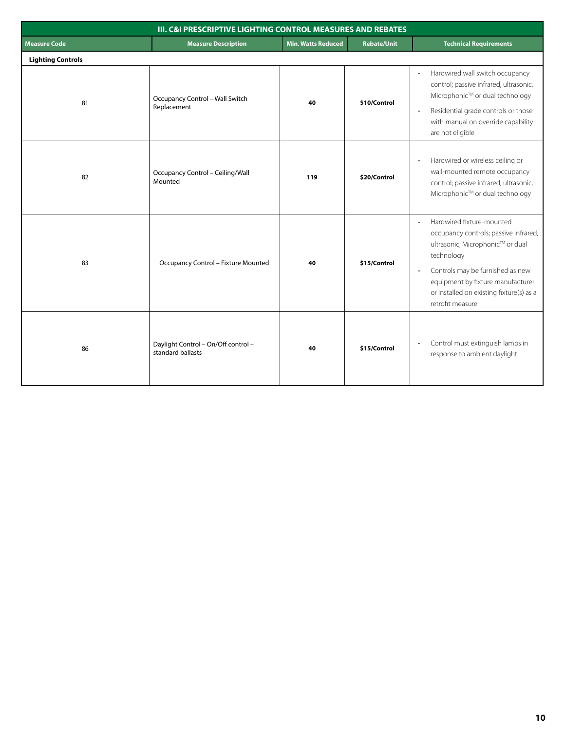|                          | <b>III. C&amp;I PRESCRIPTIVE LIGHTING CONTROL MEASURES AND REBATES</b> |                           |                    |                                                                                                                                                                                                                                                                                         |
|--------------------------|------------------------------------------------------------------------|---------------------------|--------------------|-----------------------------------------------------------------------------------------------------------------------------------------------------------------------------------------------------------------------------------------------------------------------------------------|
| <b>Measure Code</b>      | <b>Measure Description</b>                                             | <b>Min. Watts Reduced</b> | <b>Rebate/Unit</b> | <b>Technical Requirements</b>                                                                                                                                                                                                                                                           |
| <b>Lighting Controls</b> |                                                                        |                           |                    |                                                                                                                                                                                                                                                                                         |
| 81                       | Occupancy Control - Wall Switch<br>Replacement                         | 40                        | \$10/Control       | Hardwired wall switch occupancy<br>control; passive infrared, ultrasonic,<br>Microphonic™ or dual technology<br>Residential grade controls or those<br>$\bullet$<br>with manual on override capability<br>are not eligible                                                              |
| 82                       | Occupancy Control - Ceiling/Wall<br>Mounted                            | 119                       | \$20/Control       | Hardwired or wireless ceiling or<br>wall-mounted remote occupancy<br>control; passive infrared, ultrasonic,<br>Microphonic™ or dual technology                                                                                                                                          |
| 83                       | <b>Occupancy Control - Fixture Mounted</b>                             | 40                        | \$15/Control       | Hardwired fixture-mounted<br>$\bullet$<br>occupancy controls; passive infrared,<br>ultrasonic, Microphonic™ or dual<br>technology<br>Controls may be furnished as new<br>$\bullet$<br>equipment by fixture manufacturer<br>or installed on existing fixture(s) as a<br>retrofit measure |
| 86                       | Daylight Control - On/Off control -<br>standard ballasts               | 40                        | \$15/Control       | Control must extinguish lamps in<br>$\bullet$<br>response to ambient daylight                                                                                                                                                                                                           |